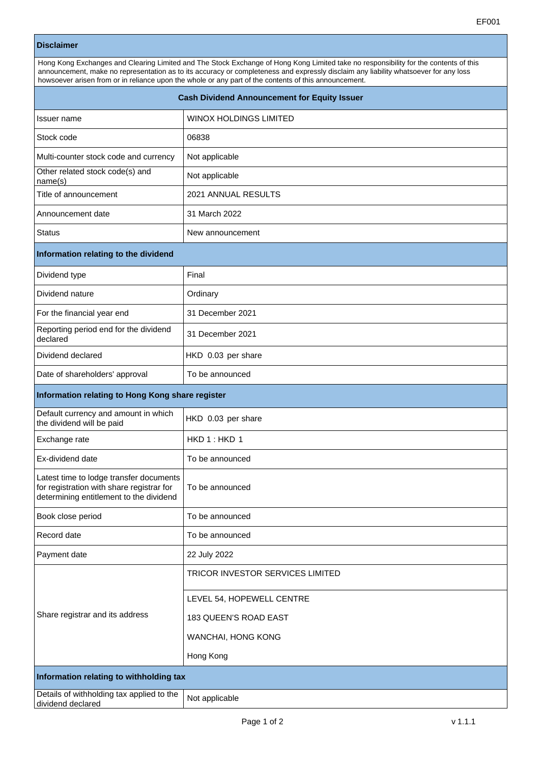|                                                                   | EF001                                                                                                                                                                                                                                                                                                                                                                                 |  |
|-------------------------------------------------------------------|---------------------------------------------------------------------------------------------------------------------------------------------------------------------------------------------------------------------------------------------------------------------------------------------------------------------------------------------------------------------------------------|--|
| <b>Disclaimer</b>                                                 |                                                                                                                                                                                                                                                                                                                                                                                       |  |
|                                                                   | Hong Kong Exchanges and Clearing Limited and The Stock Exchange of Hong Kong Limited take no responsibility for the contents of this<br>announcement, make no representation as to its accuracy or completeness and expressly disclaim any liability whatsoever for any loss<br>howsoever arisen from or in reliance upon the whole or any part of the contents of this announcement. |  |
| <b>Cash Dividend Announcement for Equity Issuer</b>               |                                                                                                                                                                                                                                                                                                                                                                                       |  |
| Issuer name                                                       | WINOX HOLDINGS LIMITED                                                                                                                                                                                                                                                                                                                                                                |  |
| Stock code                                                        | 06838                                                                                                                                                                                                                                                                                                                                                                                 |  |
| Multi-counter stock code and currency                             | Not applicable                                                                                                                                                                                                                                                                                                                                                                        |  |
| Other related stock code(s) and<br>name(s)                        | Not applicable                                                                                                                                                                                                                                                                                                                                                                        |  |
| Title of announcement                                             | 2021 ANNUAL RESULTS                                                                                                                                                                                                                                                                                                                                                                   |  |
| Announcement date                                                 | 31 March 2022                                                                                                                                                                                                                                                                                                                                                                         |  |
| <b>Status</b>                                                     | New announcement                                                                                                                                                                                                                                                                                                                                                                      |  |
| Information relating to the dividend                              |                                                                                                                                                                                                                                                                                                                                                                                       |  |
| Dividend type                                                     | Final                                                                                                                                                                                                                                                                                                                                                                                 |  |
| Dividend nature                                                   | Ordinary                                                                                                                                                                                                                                                                                                                                                                              |  |
| For the financial year end                                        | 31 December 2021                                                                                                                                                                                                                                                                                                                                                                      |  |
| Reporting period end for the dividend<br>declared                 | 31 December 2021                                                                                                                                                                                                                                                                                                                                                                      |  |
| Dividend declared                                                 | HKD 0.03 per share                                                                                                                                                                                                                                                                                                                                                                    |  |
| Date of shareholders' approval                                    | To be announced                                                                                                                                                                                                                                                                                                                                                                       |  |
| Information relating to Hong Kong share register                  |                                                                                                                                                                                                                                                                                                                                                                                       |  |
| Default currency and amount in which<br>the dividend will be paid | HKD 0.03 per share                                                                                                                                                                                                                                                                                                                                                                    |  |
| Exchange rate                                                     | HKD1:HKD1                                                                                                                                                                                                                                                                                                                                                                             |  |
| Ex-dividend date                                                  | To be announced                                                                                                                                                                                                                                                                                                                                                                       |  |

To be announced

Latest time to lodge transfer documents for registration with share registrar for determining entitlement to the dividend

Share registrar and its address

Book close period To be announced

Record date To be announced

Payment date 22 July 2022

TRICOR INVESTOR SERVICES LIMITED

LEVEL 54, HOPEWELL CENTRE

183 QUEEN'S ROAD EAST

WANCHAI, HONG KONG